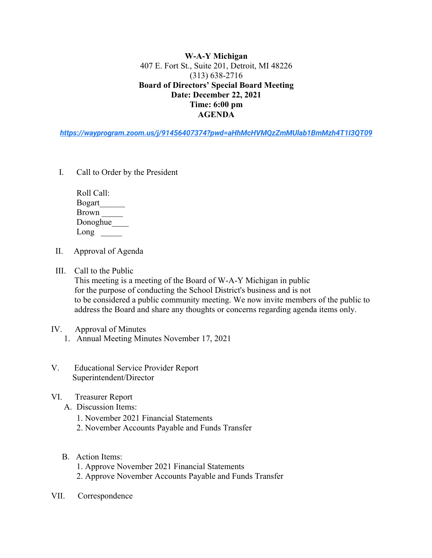**W-A-Y Michigan** 407 E. Fort St., Suite 201, Detroit, MI 48226 (313) 638-2716 **Board of Directors' Special Board Meeting Date: December 22, 2021 Time: 6:00 pm AGENDA**

*https://wayprogram.zoom.us/j/91456407374?pwd=aHhMcHVMQzZmMUlab1BmMzh4T1I3QT09*

I. Call to Order by the President

| Roll Call:    |
|---------------|
| <b>Bogart</b> |
| <b>Brown</b>  |
| Donoghue      |
| Long          |

- II. Approval of Agenda
- III. Call to the Public

 This meeting is a meeting of the Board of W-A-Y Michigan in public for the purpose of conducting the School District's business and is not to be considered a public community meeting. We now invite members of the public to address the Board and share any thoughts or concerns regarding agenda items only.

- IV. Approval of Minutes
	- 1. Annual Meeting Minutes November 17, 2021
- V. Educational Service Provider Report Superintendent/Director
- VI. Treasurer Report
	- A. Discussion Items:
		- 1. November 2021 Financial Statements
		- 2. November Accounts Payable and Funds Transfer
	- B. Action Items:
		- 1. Approve November 2021 Financial Statements
		- 2. Approve November Accounts Payable and Funds Transfer
- VII. Correspondence